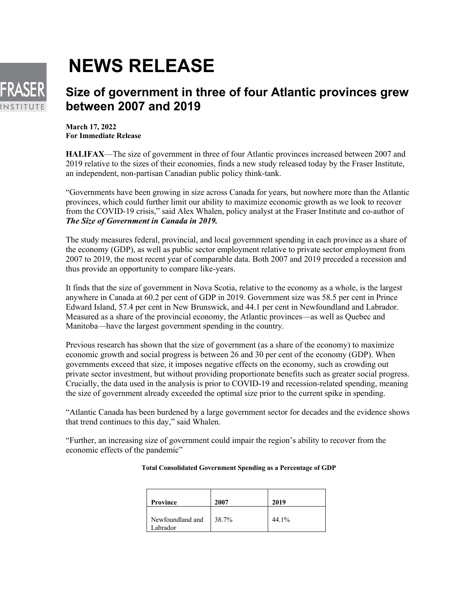

## **NEWS RELEASE**

## **Size of government in three of four Atlantic provinces grew between 2007 and 2019**

**March 17, 2022 For Immediate Release**

**HALIFAX**—The size of government in three of four Atlantic provinces increased between 2007 and 2019 relative to the sizes of their economies, finds a new study released today by the Fraser Institute, an independent, non-partisan Canadian public policy think-tank.

"Governments have been growing in size across Canada for years, but nowhere more than the Atlantic provinces, which could further limit our ability to maximize economic growth as we look to recover from the COVID-19 crisis," said Alex Whalen, policy analyst at the Fraser Institute and co-author of *The Size of Government in Canada in 2019.*

The study measures federal, provincial, and local government spending in each province as a share of the economy (GDP), as well as public sector employment relative to private sector employment from 2007 to 2019, the most recent year of comparable data. Both 2007 and 2019 preceded a recession and thus provide an opportunity to compare like-years.

It finds that the size of government in Nova Scotia, relative to the economy as a whole, is the largest anywhere in Canada at 60.2 per cent of GDP in 2019. Government size was 58.5 per cent in Prince Edward Island, 57.4 per cent in New Brunswick, and 44.1 per cent in Newfoundland and Labrador. Measured as a share of the provincial economy, the Atlantic provinces—as well as Quebec and Manitoba—have the largest government spending in the country.

Previous research has shown that the size of government (as a share of the economy) to maximize economic growth and social progress is between 26 and 30 per cent of the economy (GDP). When governments exceed that size, it imposes negative effects on the economy, such as crowding out private sector investment, but without providing proportionate benefits such as greater social progress. Crucially, the data used in the analysis is prior to COVID-19 and recession-related spending, meaning the size of government already exceeded the optimal size prior to the current spike in spending.

"Atlantic Canada has been burdened by a large government sector for decades and the evidence shows that trend continues to this day," said Whalen.

"Further, an increasing size of government could impair the region's ability to recover from the economic effects of the pandemic"

| Province                     | 2007  | 2019  |
|------------------------------|-------|-------|
| Newfoundland and<br>Labrador | 38.7% | 44.1% |

## **Total Consolidated Government Spending as a Percentage of GDP**